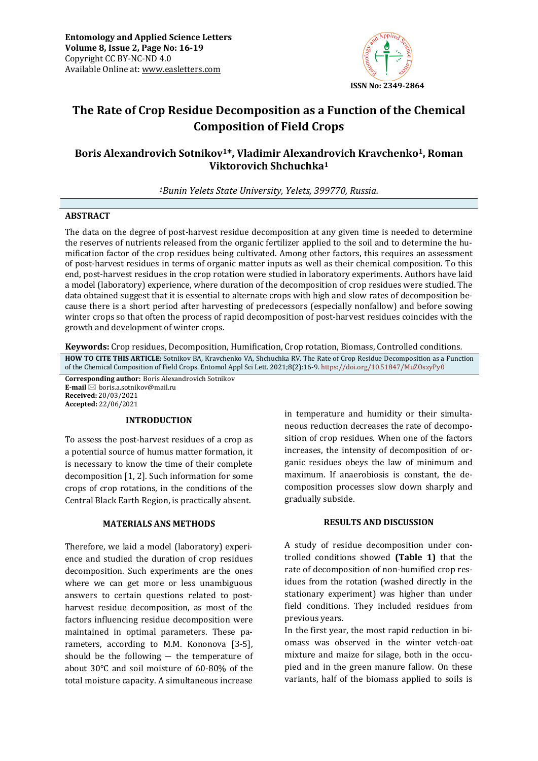

# **The Rate of Crop Residue Decomposition as a Function of the Chemical Composition of Field Crops**

## **Boris Alexandrovich Sotnikov1\*, Vladimir Alexandrovich Kravchenko1, Roman Viktorovich Shchuchka<sup>1</sup>**

*<sup>1</sup>Bunin Yelets State University, Yelets, 399770, Russia.*

### **ABSTRACT**

The data on the degree of post-harvest residue decomposition at any given time is needed to determine the reserves of nutrients released from the organic fertilizer applied to the soil and to determine the humification factor of the crop residues being cultivated. Among other factors, this requires an assessment of post-harvest residues in terms of organic matter inputs as well as their chemical composition. To this end, post-harvest residues in the crop rotation were studied in laboratory experiments. Authors have laid a model (laboratory) experience, where duration of the decomposition of crop residues were studied. The data obtained suggest that it is essential to alternate crops with high and slow rates of decomposition because there is a short period after harvesting of predecessors (especially nonfallow) and before sowing winter crops so that often the process of rapid decomposition of post-harvest residues coincides with the growth and development of winter crops.

**Keywords:** Crop residues, Decomposition, Humification, Crop rotation, Biomass, Controlled conditions*.* **HOW TO CITE THIS ARTICLE:** Sotnikov BA, Kravchenko VA, Shchuchka RV. The Rate of Crop Residue Decomposition as a Function

of the Chemical Composition of Field Crops. Entomol Appl Sci Lett. 2021;8(2):16-9. <https://doi.org/10.51847/MuZOszyPy0>

**Corresponding author:** Boris Alexandrovich Sotnikov **E-mail** ⊠ boris.a.sotnikov@mail.ru **Received:** 20/03/2021 **Accepted:** 22/06/2021

## **INTRODUCTION**

To assess the post-harvest residues of a crop as a potential source of humus matter formation, it is necessary to know the time of their complete decomposition [1, 2]. Such information for some crops of crop rotations, in the conditions of the Central Black Earth Region, is practically absent.

## **MATERIALS ANS METHODS**

Therefore, we laid a model (laboratory) experience and studied the duration of crop residues decomposition. Such experiments are the ones where we can get more or less unambiguous answers to certain questions related to postharvest residue decomposition, as most of the factors influencing residue decomposition were maintained in optimal parameters. These parameters, according to M.M. Kononova [3-5], should be the following ― the temperature of about 30°C and soil moisture of 60-80% of the total moisture capacity. A simultaneous increase

in temperature and humidity or their simultaneous reduction decreases the rate of decomposition of crop residues. When one of the factors increases, the intensity of decomposition of organic residues obeys the law of minimum and maximum. If anaerobiosis is constant, the decomposition processes slow down sharply and gradually subside.

#### **RESULTS AND DISCUSSION**

A study of residue decomposition under controlled conditions showed **(Table 1)** that the rate of decomposition of non-humified crop residues from the rotation (washed directly in the stationary experiment) was higher than under field conditions. They included residues from previous years.

In the first year, the most rapid reduction in biomass was observed in the winter vetch-oat mixture and maize for silage, both in the occupied and in the green manure fallow. On these variants, half of the biomass applied to soils is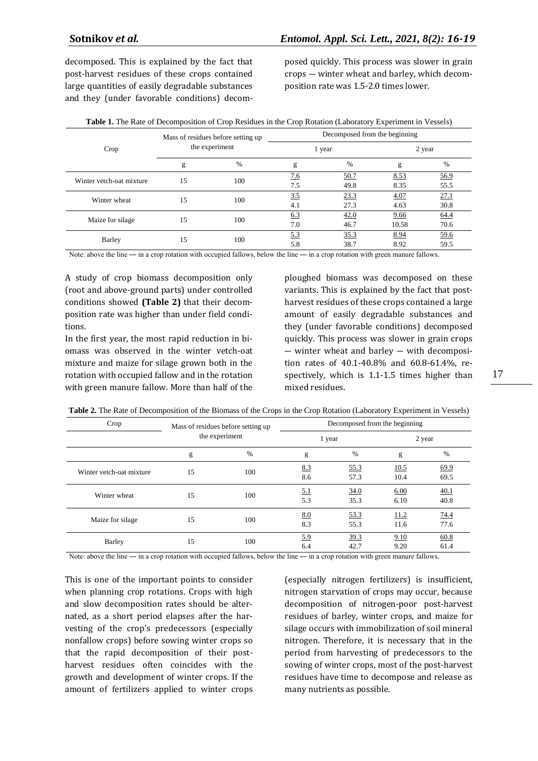decomposed. This is explained by the fact that post-harvest residues of these crops contained large quantities of easily degradable substances and they (under favorable conditions) decomposed quickly. This process was slower in grain crops ― winter wheat and barley, which decomposition rate was 1.5-2.0 times lower.

|  |  |  | Table 1. The Rate of Decomposition of Crop Residues in the Crop Rotation (Laboratory Experiment in Vessels) |  |
|--|--|--|-------------------------------------------------------------------------------------------------------------|--|
|--|--|--|-------------------------------------------------------------------------------------------------------------|--|

|                          | Mass of residues before setting up<br>the experiment |           | Decomposed from the beginning |      |        |             |  |
|--------------------------|------------------------------------------------------|-----------|-------------------------------|------|--------|-------------|--|
| Crop                     |                                                      |           | 1 year                        |      | 2 year |             |  |
|                          | g                                                    | %         | g                             | %    | g      | %           |  |
| Winter vetch-oat mixture | 15                                                   | 100       | 7.6                           | 50.7 | 8.53   | <u>56.9</u> |  |
|                          |                                                      |           | 7.5                           | 49.8 | 8.35   | 55.5        |  |
| Winter wheat             |                                                      | 15<br>100 | 3.5                           | 23.3 | 4.07   | 27.1        |  |
|                          |                                                      |           | 4.1                           | 27.3 | 4.63   | 30.8        |  |
| Maize for silage         | 15                                                   | 100       | 6.3                           | 42.0 | 9.66   | 64.4        |  |
|                          |                                                      |           | 7.0                           | 46.7 | 10.58  | 70.6        |  |
| Barley                   | 15<br>100                                            |           | 5.3                           | 35.3 | 8.94   | 59.6        |  |
|                          |                                                      |           | 5.8                           | 38.7 | 8.92   | 59.5        |  |

Note: above the line — in a crop rotation with occupied fallows, below the line — in a crop rotation with green manure fallows.

A study of crop biomass decomposition only (root and above-ground parts) under controlled conditions showed **(Table 2)** that their decomposition rate was higher than under field conditions.

In the first year, the most rapid reduction in biomass was observed in the winter vetch-oat mixture and maize for silage grown both in the rotation with occupied fallow and in the rotation with green manure fallow. More than half of the

ploughed biomass was decomposed on these variants. This is explained by the fact that postharvest residues of these crops contained a large amount of easily degradable substances and they (under favorable conditions) decomposed quickly. This process was slower in grain crops ― winter wheat and barley ― with decomposition rates of 40.1-40.8% and 60.8-61.4%, respectively, which is 1.1-1.5 times higher than mixed residues.

| Crop                     | Mass of residues before setting up<br>the experiment |     | Decomposed from the beginning |              |              |              |  |
|--------------------------|------------------------------------------------------|-----|-------------------------------|--------------|--------------|--------------|--|
|                          |                                                      |     | 1 year                        |              | 2 year       |              |  |
|                          | g                                                    | %   | g                             | $\%$         | g            | %            |  |
| Winter vetch-oat mixture | 15                                                   | 100 | 8.3<br>8.6                    | 55.3<br>57.3 | 10.5<br>10.4 | 69.9<br>69.5 |  |
| Winter wheat             | 15                                                   | 100 | <u>5.1</u><br>5.3             | 34.0<br>35.3 | 6.00<br>6.10 | 40.1<br>40.8 |  |
| Maize for silage         | 15                                                   | 100 | 8.0<br>8.3                    | 53.3<br>55.3 | 11.2<br>11.6 | 74.4<br>77.6 |  |
| <b>Barley</b>            | 15                                                   | 100 | 5.9<br>6.4                    | 39.3<br>42.7 | 9.10<br>9.20 | 60.8<br>61.4 |  |

Note: above the line — in a crop rotation with occupied fallows, below the line — in a crop rotation with green manure fallows.

This is one of the important points to consider when planning crop rotations. Crops with high and slow decomposition rates should be alternated, as a short period elapses after the harvesting of the crop's predecessors (especially nonfallow crops) before sowing winter crops so that the rapid decomposition of their postharvest residues often coincides with the growth and development of winter crops. If the amount of fertilizers applied to winter crops

(especially nitrogen fertilizers) is insufficient, nitrogen starvation of crops may occur, because decomposition of nitrogen-poor post-harvest residues of barley, winter crops, and maize for silage occurs with immobilization of soil mineral nitrogen. Therefore, it is necessary that in the period from harvesting of predecessors to the sowing of winter crops, most of the post-harvest residues have time to decompose and release as many nutrients as possible.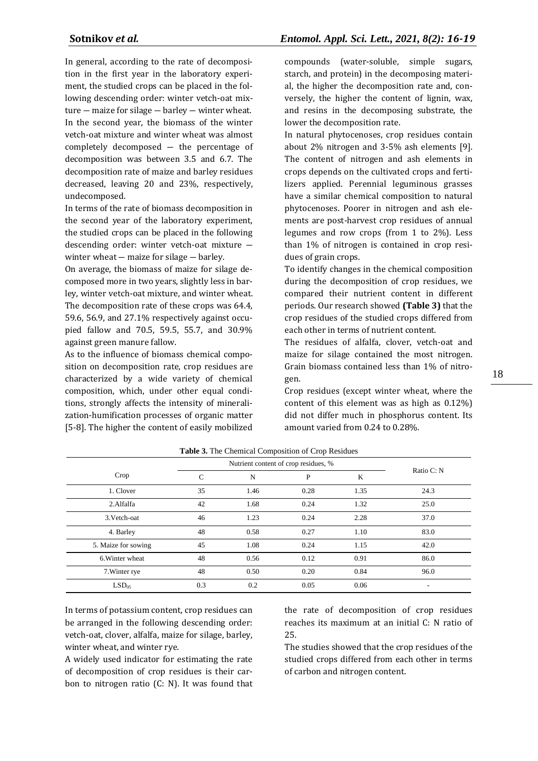In general, according to the rate of decomposition in the first year in the laboratory experiment, the studied crops can be placed in the following descending order: winter vetch-oat mixture ― maize for silage ― barley ― winter wheat. In the second year, the biomass of the winter vetch-oat mixture and winter wheat was almost completely decomposed ― the percentage of decomposition was between 3.5 and 6.7. The decomposition rate of maize and barley residues decreased, leaving 20 and 23%, respectively, undecomposed.

In terms of the rate of biomass decomposition in the second year of the laboratory experiment, the studied crops can be placed in the following descending order: winter vetch-oat mixture ― winter wheat — maize for silage — barley.

On average, the biomass of maize for silage decomposed more in two years, slightly less in barley, winter vetch-oat mixture, and winter wheat. The decomposition rate of these crops was 64.4, 59.6, 56.9, and 27.1% respectively against occupied fallow and 70.5, 59.5, 55.7, and 30.9% against green manure fallow.

As to the influence of biomass chemical composition on decomposition rate, crop residues are characterized by a wide variety of chemical composition, which, under other equal conditions, strongly affects the intensity of mineralization-humification processes of organic matter [5-8]. The higher the content of easily mobilized compounds (water-soluble, simple sugars, starch, and protein) in the decomposing material, the higher the decomposition rate and, conversely, the higher the content of lignin, wax, and resins in the decomposing substrate, the lower the decomposition rate.

In natural phytocenoses, crop residues contain about 2% nitrogen and 3-5% ash elements [9]. The content of nitrogen and ash elements in crops depends on the cultivated crops and fertilizers applied. Perennial leguminous grasses have a similar chemical composition to natural phytocenoses. Poorer in nitrogen and ash elements are post-harvest crop residues of annual legumes and row crops (from 1 to 2%). Less than 1% of nitrogen is contained in crop residues of grain crops.

To identify changes in the chemical composition during the decomposition of crop residues, we compared their nutrient content in different periods. Our research showed **(Table 3)** that the crop residues of the studied crops differed from each other in terms of nutrient content.

The residues of alfalfa, clover, vetch-oat and maize for silage contained the most nitrogen. Grain biomass contained less than 1% of nitrogen.

Crop residues (except winter wheat, where the content of this element was as high as 0.12%) did not differ much in phosphorus content. Its amount varied from 0.24 to 0.28%.

| <b>Table 5.</b> The Chemical Composition of Crop Residues |                                      |      |              |      |            |
|-----------------------------------------------------------|--------------------------------------|------|--------------|------|------------|
|                                                           | Nutrient content of crop residues, % |      |              |      |            |
| Crop                                                      | C                                    | N    | $\mathbf{P}$ | K    | Ratio C: N |
| 1. Clover                                                 | 35                                   | 1.46 | 0.28         | 1.35 | 24.3       |
| 2.Alfalfa                                                 | 42                                   | 1.68 | 0.24         | 1.32 | 25.0       |
| 3. Vetch-oat                                              | 46                                   | 1.23 | 0.24         | 2.28 | 37.0       |
| 4. Barley                                                 | 48                                   | 0.58 | 0.27         | 1.10 | 83.0       |
| 5. Maize for sowing                                       | 45                                   | 1.08 | 0.24         | 1.15 | 42.0       |
| 6. Winter wheat                                           | 48                                   | 0.56 | 0.12         | 0.91 | 86.0       |
| 7. Winter rye                                             | 48                                   | 0.50 | 0.20         | 0.84 | 96.0       |
| LSD <sub>05</sub>                                         | 0.3                                  | 0.2  | 0.05         | 0.06 |            |

**Table 3.** The Chemical Composition of Crop Residues

In terms of potassium content, crop residues can be arranged in the following descending order: vetch-oat, clover, alfalfa, maize for silage, barley, winter wheat, and winter rye.

A widely used indicator for estimating the rate of decomposition of crop residues is their carbon to nitrogen ratio (C: N). It was found that the rate of decomposition of crop residues reaches its maximum at an initial C: N ratio of 25.

The studies showed that the crop residues of the studied crops differed from each other in terms of carbon and nitrogen content.